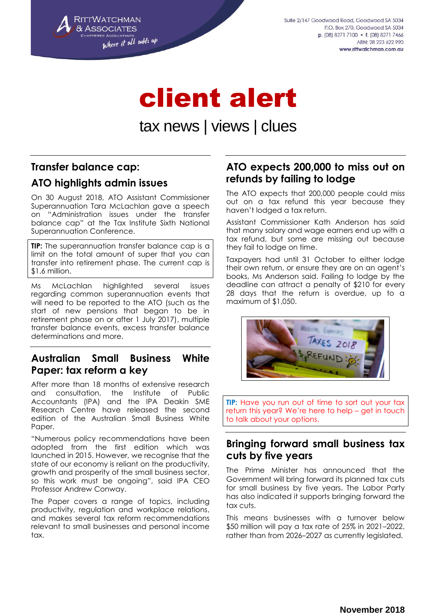

Suite 2/147 Goodwood Road, Goodwood SA 5034 P.O. Box 270, Goodwood SA 5034 p. (08) 8271 7100 • f. (08) 8271 7466 ARN: 28 223 622 990 www.rittwatchman.com.au

# client alert

# tax news | views | clues

# **Transfer balance cap:**

# **ATO highlights admin issues**

On 30 August 2018, ATO Assistant Commissioner Superannuation Tara McLachlan gave a speech on "Administration issues under the transfer balance cap" at the Tax Institute Sixth National Superannuation Conference.

**TIP:** The superannuation transfer balance cap is a limit on the total amount of super that you can transfer into retirement phase. The current cap is \$1.6 million.

Ms McLachlan highlighted several issues regarding common superannuation events that will need to be reported to the ATO (such as the start of new pensions that began to be in retirement phase on or after 1 July 2017), multiple transfer balance events, excess transfer balance determinations and more.

#### **Australian Small Business White Paper: tax reform a key**

After more than 18 months of extensive research and consultation, the Institute of Public Accountants (IPA) and the IPA Deakin SME Research Centre have released the second edition of the Australian Small Business White Paper.

"Numerous policy recommendations have been adopted from the first edition which was launched in 2015. However, we recognise that the state of our economy is reliant on the productivity, growth and prosperity of the small business sector, so this work must be ongoing", said IPA CEO Professor Andrew Conway.

The Paper covers a range of topics, including productivity, regulation and workplace relations, and makes several tax reform recommendations relevant to small businesses and personal income tax.

# **ATO expects 200,000 to miss out on refunds by failing to lodge**

The ATO expects that 200,000 people could miss out on a tax refund this year because they haven't lodged a tax return.

Assistant Commissioner Kath Anderson has said that many salary and wage earners end up with a tax refund, but some are missing out because they fail to lodge on time.

Taxpayers had until 31 October to either lodge their own return, or ensure they are on an agent's books, Ms Anderson said. Failing to lodge by the deadline can attract a penalty of \$210 for every 28 days that the return is overdue, up to a maximum of \$1,050.



**TIP:** Have you run out of time to sort out your tax return this year? We're here to help – get in touch to talk about your options.

#### **Bringing forward small business tax cuts by five years**

The Prime Minister has announced that the Government will bring forward its planned tax cuts for small business by five years. The Labor Party has also indicated it supports bringing forward the tax cuts.

This means businesses with a turnover below \$50 million will pay a tax rate of 25% in 2021–2022, rather than from 2026–2027 as currently legislated.